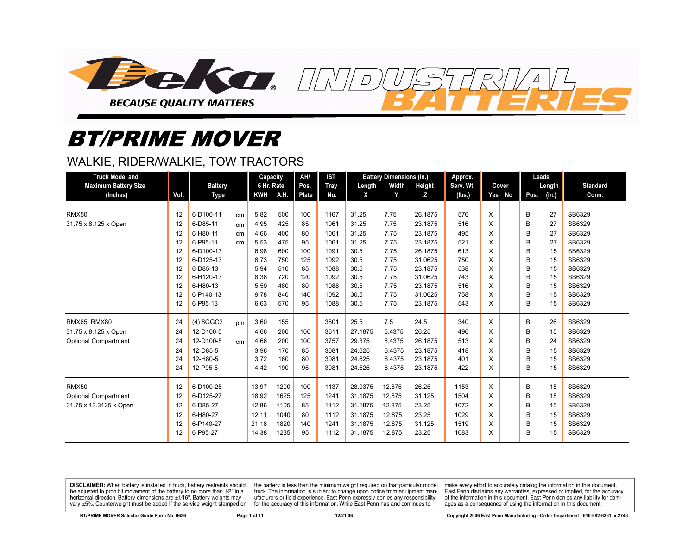

# *BT/PRIME MOVER*

## WALKIE, RIDER/WALKIE, TOW TRACTORS

| <b>Truck Model and</b>      |      |                |    | <b>Capacity</b> |      | AH/   | <b>IST</b>  |         | <b>Battery Dimensions (in.)</b> |         | Approx.   |        |      | Leads  |                 |
|-----------------------------|------|----------------|----|-----------------|------|-------|-------------|---------|---------------------------------|---------|-----------|--------|------|--------|-----------------|
| <b>Maximum Battery Size</b> |      | <b>Battery</b> |    | 6 Hr. Rate      |      | Pos.  | <b>Tray</b> | Length  | Width                           | Height  | Serv. Wt. | Cover  |      | Length | <b>Standard</b> |
| (Inches)                    | Volt | Type           |    | <b>KWH</b>      | A.H. | Plate | No.         | X       | Y                               | Z       | (lbs.)    | Yes No | Pos. | (in.)  | Conn.           |
|                             |      |                |    |                 |      |       |             |         |                                 |         |           |        |      |        |                 |
| <b>RMX50</b>                | 12   | 6-D100-11      | cm | 5.82            | 500  | 100   | 1167        | 31.25   | 7.75                            | 26.1875 | 576       | X      | B    | 27     | SB6329          |
| 31.75 x 8.125 x Open        | 12   | 6-D85-11       | cm | 4.95            | 425  | 85    | 1061        | 31.25   | 7.75                            | 23.1875 | 516       | X      | B    | 27     | SB6329          |
|                             | 12   | 6-H80-11       | cm | 4.66            | 400  | 80    | 1061        | 31.25   | 7.75                            | 23.1875 | 495       | X      | B    | 27     | SB6329          |
|                             | 12   | 6-P95-11       | cm | 5.53            | 475  | 95    | 1061        | 31.25   | 7.75                            | 23.1875 | 521       | X      | B    | 27     | SB6329          |
|                             | 12   | 6-D100-13      |    | 6.98            | 600  | 100   | 1091        | 30.5    | 7.75                            | 26.1875 | 613       | X      | B    | 15     | SB6329          |
|                             | 12   | 6-D125-13      |    | 8.73            | 750  | 125   | 1092        | 30.5    | 7.75                            | 31.0625 | 750       | X      | B    | 15     | SB6329          |
|                             | 12   | 6-D85-13       |    | 5.94            | 510  | 85    | 1088        | 30.5    | 7.75                            | 23.1875 | 538       | X      | B    | 15     | SB6329          |
|                             | 12   | 6-H120-13      |    | 8.38            | 720  | 120   | 1092        | 30.5    | 7.75                            | 31.0625 | 743       | X      | B    | 15     | SB6329          |
|                             | 12   | 6-H80-13       |    | 5.59            | 480  | 80    | 1088        | 30.5    | 7.75                            | 23.1875 | 516       | X      | B    | 15     | SB6329          |
|                             | 12   | 6-P140-13      |    | 9.78            | 840  | 140   | 1092        | 30.5    | 7.75                            | 31.0625 | 758       | X      | B    | 15     | SB6329          |
|                             | 12   | 6-P95-13       |    | 6.63            | 570  | 95    | 1088        | 30.5    | 7.75                            | 23.1875 | 543       | X      | B    | 15     | SB6329          |
| <b>RMX65, RMX80</b>         | 24   | $(4)$ 8GGC2    | pm | 3.60            | 155  |       | 3801        | 25.5    | 7.5                             | 24.5    | 340       | X      | В    | 26     | SB6329          |
| 31.75 x 8.125 x Open        | 24   | 12-D100-5      |    | 4.66            | 200  | 100   | 3611        | 27.1875 | 6.4375                          | 26.25   | 496       | X      | В    | 15     | SB6329          |
| <b>Optional Compartment</b> | 24   | 12-D100-5      | cm | 4.66            | 200  | 100   | 3757        | 29.375  | 6.4375                          | 26.1875 | 513       | X      | В    | 24     | SB6329          |
|                             | 24   | 12-D85-5       |    | 3.96            | 170  | 85    | 3081        | 24.625  | 6.4375                          | 23.1875 | 418       | X      | B    | 15     | SB6329          |
|                             | 24   | 12-H80-5       |    | 3.72            | 160  | 80    | 3081        | 24.625  | 6.4375                          | 23.1875 | 401       | X      | B    | 15     | SB6329          |
|                             | 24   | 12-P95-5       |    | 4.42            | 190  | 95    | 3081        | 24.625  | 6.4375                          | 23.1875 | 422       | X      | в    | 15     | SB6329          |
| <b>RMX50</b>                | 12   | 6-D100-25      |    | 13.97           | 1200 | 100   | 1137        | 28.9375 | 12.875                          | 26.25   | 1153      | X      | В    | 15     | SB6329          |
| <b>Optional Compartment</b> | 12   | 6-D125-27      |    | 18.92           | 1625 | 125   | 1241        | 31.1875 | 12.875                          | 31.125  | 1504      | X      | B    | 15     | SB6329          |
| 31.75 x 13.3125 x Open      | 12   | 6-D85-27       |    | 12.86           | 1105 | 85    | 1112        | 31.1875 | 12.875                          | 23.25   | 1072      | X      | B    | 15     | SB6329          |
|                             | 12   | 6-H80-27       |    | 12.11           | 1040 | 80    | 1112        | 31.1875 | 12.875                          | 23.25   | 1029      | X      | В    | 15     | SB6329          |
|                             | 12   | 6-P140-27      |    | 21.18           | 1820 | 140   | 1241        | 31.1875 | 12.875                          | 31.125  | 1519      | X      | B    | 15     | SB6329          |
|                             | 12   | 6-P95-27       |    | 14.38           | 1235 | 95    | 1112        | 31.1875 | 12.875                          | 23.25   | 1083      | X      | B    | 15     | SB6329          |

DISCLAIMER: When battery is installed in truck, battery restraints should be adjusted to prohibit movement of the battery to no more than 1/2" in a horizontal direction. Battery dimensions are  $\pm 1/16$ ". Battery weights may vary ±5%. Counterweight must be added if the service weight stamped on

the battery is less than the minimum weight required on that particular model truck. The information is subject to change upon notice from equipment manufacturers or field experience. East Penn expressly denies any responsibility for the accuracy of this information. While East Penn has and continues to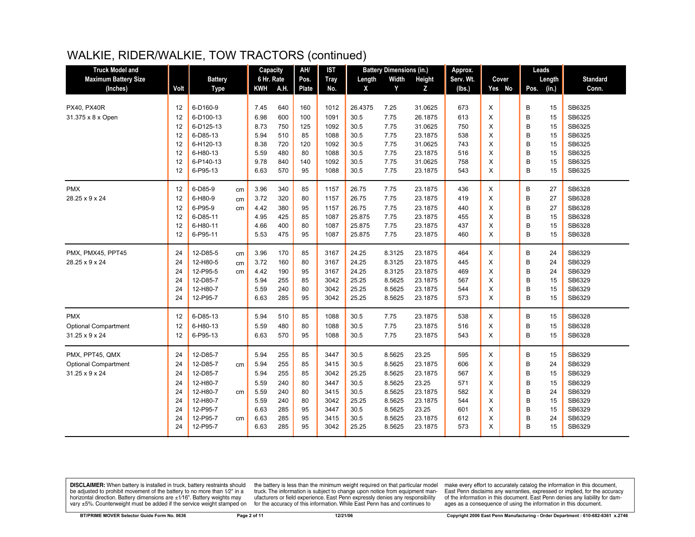| <b>Truck Model and</b>      |      |                |    | Capacity     |      | AH/   | <b>IST</b>   |               | <b>Battery Dimensions (in.)</b> |         | Approx.   |   |        | Leads |          |                 |
|-----------------------------|------|----------------|----|--------------|------|-------|--------------|---------------|---------------------------------|---------|-----------|---|--------|-------|----------|-----------------|
| <b>Maximum Battery Size</b> |      | <b>Battery</b> |    | 6 Hr. Rate   |      | Pos.  | <b>Tray</b>  | Length        | Width                           | Height  | Serv. Wt. |   | Cover  |       | Length   | <b>Standard</b> |
| (Inches)                    | Volt | <b>Type</b>    |    | <b>KWH</b>   | A.H. | Plate | No.          | X             | Y                               | z       | (lbs.)    |   | Yes No | Pos.  | (in.)    | Conn.           |
|                             |      |                |    |              |      |       |              |               |                                 |         |           |   |        |       |          |                 |
| <b>PX40, PX40R</b>          | 12   | 6-D160-9       |    | 7.45         | 640  | 160   | 1012         | 26.4375       | 7.25                            | 31.0625 | 673       | X |        | B     | 15       | SB6325          |
| 31.375 x 8 x Open           | 12   | 6-D100-13      |    | 6.98         | 600  | 100   | 1091         | 30.5          | 7.75                            | 26.1875 | 613       | X |        | B     | 15       | SB6325          |
|                             | 12   | 6-D125-13      |    | 8.73         | 750  | 125   | 1092         | 30.5          | 7.75                            | 31.0625 | 750       | X |        | B     | 15       | SB6325          |
|                             | 12   | 6-D85-13       |    | 5.94         | 510  | 85    | 1088         | 30.5          | 7.75                            | 23.1875 | 538       | X |        | B     | 15       | SB6325          |
|                             | 12   | 6-H120-13      |    | 8.38         | 720  | 120   | 1092         | 30.5          | 7.75                            | 31.0625 | 743       | X |        | B     | 15       | SB6325          |
|                             | 12   | 6-H80-13       |    | 5.59         | 480  | 80    | 1088         | 30.5          | 7.75                            | 23.1875 | 516       | X |        | B     | 15       | SB6325          |
|                             | 12   | 6-P140-13      |    | 9.78         | 840  | 140   | 1092         | 30.5          | 7.75                            | 31.0625 | 758       | X |        | B     | 15       | SB6325          |
|                             | 12   | 6-P95-13       |    | 6.63         | 570  | 95    | 1088         | 30.5          | 7.75                            | 23.1875 | 543       | X |        | B     | 15       | SB6325          |
| <b>PMX</b>                  | 12   | 6-D85-9        | cm | 3.96         | 340  | 85    | 1157         | 26.75         | 7.75                            | 23.1875 | 436       | X |        | В     | 27       | SB6328          |
| 28.25 x 9 x 24              | 12   | 6-H80-9        | cm | 3.72         | 320  | 80    | 1157         | 26.75         | 7.75                            | 23.1875 | 419       | X |        | B     | 27       | SB6328          |
|                             | 12   | 6-P95-9        | cm | 4.42         | 380  | 95    | 1157         | 26.75         | 7.75                            | 23.1875 | 440       | X |        | B     | 27       | SB6328          |
|                             | 12   | 6-D85-11       |    | 4.95         | 425  | 85    | 1087         | 25.875        | 7.75                            | 23.1875 | 455       | X |        | B     | 15       | SB6328          |
|                             | 12   | 6-H80-11       |    | 4.66         | 400  | 80    | 1087         | 25.875        | 7.75                            | 23.1875 | 437       | X |        | B     | 15       | SB6328          |
|                             | 12   | 6-P95-11       |    | 5.53         | 475  | 95    | 1087         | 25.875        | 7.75                            | 23.1875 | 460       | X |        | B     | 15       | SB6328          |
| PMX, PMX45, PPT45           | 24   | 12-D85-5       | cm | 3.96         | 170  | 85    | 3167         | 24.25         | 8.3125                          | 23.1875 | 464       | X |        | В     | 24       | SB6329          |
| 28.25 x 9 x 24              | 24   | 12-H80-5       | cm | 3.72         | 160  | 80    | 3167         | 24.25         | 8.3125                          | 23.1875 | 445       | X |        | B     | 24       | SB6329          |
|                             | 24   | 12-P95-5       | cm | 4.42         | 190  | 95    | 3167         | 24.25         | 8.3125                          | 23.1875 | 469       | X |        | B     | 24       | SB6329          |
|                             | 24   | 12-D85-7       |    | 5.94         | 255  | 85    | 3042         | 25.25         | 8.5625                          | 23.1875 | 567       | X |        | B     | 15       | SB6329          |
|                             | 24   | 12-H80-7       |    | 5.59         | 240  | 80    | 3042         | 25.25         | 8.5625                          | 23.1875 | 544       | X |        | B     | 15       | SB6329          |
|                             | 24   | 12-P95-7       |    | 6.63         | 285  | 95    | 3042         | 25.25         | 8.5625                          | 23.1875 | 573       | X |        | B     | 15       | SB6329          |
| <b>PMX</b>                  | 12   | 6-D85-13       |    | 5.94         | 510  | 85    | 1088         | 30.5          | 7.75                            | 23.1875 | 538       | X |        | B     | 15       | SB6328          |
| <b>Optional Compartment</b> | 12   | 6-H80-13       |    | 5.59         | 480  | 80    | 1088         | 30.5          | 7.75                            | 23.1875 | 516       | X |        | B     | 15       | SB6328          |
| 31.25 x 9 x 24              | 12   | 6-P95-13       |    | 6.63         | 570  | 95    | 1088         | 30.5          | 7.75                            | 23.1875 | 543       | X |        | B     | 15       | SB6328          |
| PMX, PPT45, QMX             | 24   | 12-D85-7       |    | 5.94         | 255  | 85    | 3447         | 30.5          | 8.5625                          | 23.25   | 595       | X |        | В     | 15       | SB6329          |
| <b>Optional Compartment</b> | 24   | 12-D85-7       | cm | 5.94         | 255  | 85    | 3415         | 30.5          | 8.5625                          | 23.1875 | 606       | X |        | B     | 24       | SB6329          |
| $31.25 \times 9 \times 24$  | 24   | 12-D85-7       |    | 5.94         | 255  | 85    | 3042         | 25.25         | 8.5625                          | 23.1875 | 567       | X |        | B     | 15       | SB6329          |
|                             | 24   | 12-H80-7       |    | 5.59         | 240  | 80    | 3447         | 30.5          | 8.5625                          | 23.25   | 571       | X |        | B     | 15       | SB6329          |
|                             | 24   | 12-H80-7       |    |              | 240  | 80    |              |               | 8.5625                          | 23.1875 | 582       | X |        | B     |          | SB6329          |
|                             | 24   | 12-H80-7       | cm | 5.59<br>5.59 | 240  | 80    | 3415<br>3042 | 30.5<br>25.25 | 8.5625                          | 23.1875 | 544       | X |        | B     | 24<br>15 | SB6329          |
|                             | 24   | 12-P95-7       |    | 6.63         | 285  | 95    | 3447         | 30.5          | 8.5625                          | 23.25   | 601       | X |        | B     | 15       | SB6329          |
|                             | 24   | 12-P95-7       | cm | 6.63         | 285  | 95    | 3415         | 30.5          | 8.5625                          | 23.1875 | 612       | X |        | B     | 24       | SB6329          |
|                             | 24   | 12-P95-7       |    | 6.63         | 285  | 95    | 3042         | 25.25         | 8.5625                          | 23.1875 | 573       | X |        | B     | 15       | SB6329          |
|                             |      |                |    |              |      |       |              |               |                                 |         |           |   |        |       |          |                 |

**DISCLAIMER:** When battery is installed in truck, battery restraints should be adjusted to prohibit movement of the battery to no more than 1/2" in a be added in the behavior of the behavior of the behavior of the behavior of the behavior of the behavior of the behavior of the behavior of the service weight sharped on vary  $\pm$ 5%. Counterweight must be added if the ser

the battery is less than the minimum weight required on that particular model<br>truck. The information is subject to change upon notice from equipment manufacturers or field experience. East Penn expressly denies any responsibility for the accuracy of this information. While East Penn has and continues to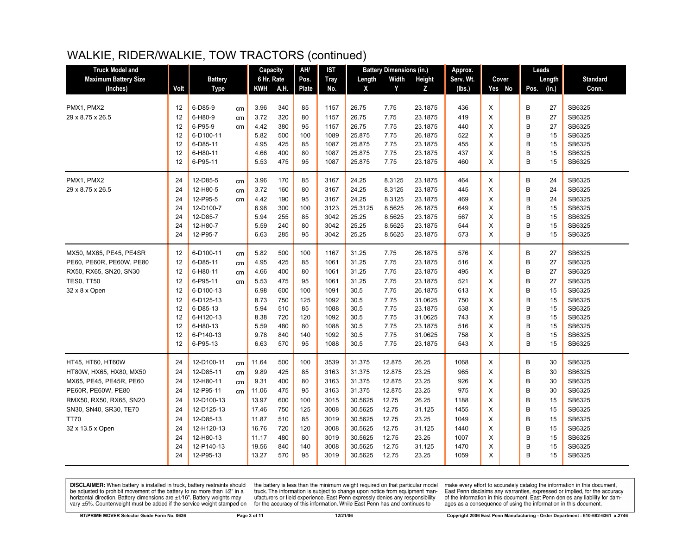| <b>Truck Model and</b>      |      |                |    | Capacity   |      | AH/   | IST         |         | <b>Battery Dimensions (in.)</b> |         | Approx.   |        | Leads         |                 |
|-----------------------------|------|----------------|----|------------|------|-------|-------------|---------|---------------------------------|---------|-----------|--------|---------------|-----------------|
| <b>Maximum Battery Size</b> |      | <b>Battery</b> |    | 6 Hr. Rate |      | Pos.  | <b>Tray</b> | Length  | Width                           | Height  | Serv. Wt. | Cover  | Length        | <b>Standard</b> |
| (Inches)                    | Volt | <b>Type</b>    |    | <b>KWH</b> | A.H. | Plate | No.         | X       | Y                               | z       | (lbs.)    | Yes No | (in.)<br>Pos. | Conn.           |
|                             |      |                |    |            |      |       |             |         |                                 |         |           |        |               |                 |
| PMX1, PMX2                  | 12   | 6-D85-9        | cm | 3.96       | 340  | 85    | 1157        | 26.75   | 7.75                            | 23.1875 | 436       | X      | В<br>27       | SB6325          |
| 29 x 8.75 x 26.5            | 12   | 6-H80-9        | cm | 3.72       | 320  | 80    | 1157        | 26.75   | 7.75                            | 23.1875 | 419       | X      | B<br>27       | SB6325          |
|                             | 12   | 6-P95-9        | cm | 4.42       | 380  | 95    | 1157        | 26.75   | 7.75                            | 23.1875 | 440       | X      | B<br>27       | SB6325          |
|                             | 12   | 6-D100-11      |    | 5.82       | 500  | 100   | 1089        | 25.875  | 7.75                            | 26.1875 | 522       | X      | B<br>15       | SB6325          |
|                             | 12   | 6-D85-11       |    | 4.95       | 425  | 85    | 1087        | 25.875  | 7.75                            | 23.1875 | 455       | X      | B<br>15       | SB6325          |
|                             | 12   | 6-H80-11       |    | 4.66       | 400  | 80    | 1087        | 25.875  | 7.75                            | 23.1875 | 437       | X      | B<br>15       | SB6325          |
|                             | 12   | 6-P95-11       |    | 5.53       | 475  | 95    | 1087        | 25.875  | 7.75                            | 23.1875 | 460       | X      | B<br>15       | SB6325          |
| PMX1, PMX2                  | 24   | 12-D85-5       | cm | 3.96       | 170  | 85    | 3167        | 24.25   | 8.3125                          | 23.1875 | 464       | X      | B<br>24       | SB6325          |
| 29 x 8.75 x 26.5            | 24   | 12-H80-5       | cm | 3.72       | 160  | 80    | 3167        | 24.25   | 8.3125                          | 23.1875 | 445       | X      | B<br>24       | SB6325          |
|                             | 24   | 12-P95-5       | cm | 4.42       | 190  | 95    | 3167        | 24.25   | 8.3125                          | 23.1875 | 469       | X      | B<br>24       | SB6325          |
|                             | 24   | 12-D100-7      |    | 6.98       | 300  | 100   | 3123        | 25.3125 | 8.5625                          | 26.1875 | 649       | X      | B<br>15       | SB6325          |
|                             | 24   | 12-D85-7       |    | 5.94       | 255  | 85    | 3042        | 25.25   | 8.5625                          | 23.1875 | 567       | X      | B<br>15       | SB6325          |
|                             | 24   | 12-H80-7       |    | 5.59       | 240  | 80    | 3042        | 25.25   | 8.5625                          | 23.1875 | 544       | X      | B<br>15       | SB6325          |
|                             | 24   | 12-P95-7       |    | 6.63       | 285  | 95    | 3042        | 25.25   | 8.5625                          | 23.1875 | 573       | X      | B<br>15       | SB6325          |
| MX50, MX65, PE45, PE4SR     | 12   | 6-D100-11      | cm | 5.82       | 500  | 100   | 1167        | 31.25   | 7.75                            | 26.1875 | 576       | X      | В<br>27       | SB6325          |
| PE60, PE60R, PE60W, PE80    | 12   | 6-D85-11       | cm | 4.95       | 425  | 85    | 1061        | 31.25   | 7.75                            | 23.1875 | 516       | X      | B<br>27       | SB6325          |
| RX50, RX65, SN20, SN30      | 12   | 6-H80-11       | cm | 4.66       | 400  | 80    | 1061        | 31.25   | 7.75                            | 23.1875 | 495       | X      | B<br>27       | SB6325          |
| <b>TES0, TT50</b>           | 12   | 6-P95-11       | cm | 5.53       | 475  | 95    | 1061        | 31.25   | 7.75                            | 23.1875 | 521       | X      | B<br>27       | SB6325          |
| 32 x 8 x Open               | 12   | 6-D100-13      |    | 6.98       | 600  | 100   | 1091        | 30.5    | 7.75                            | 26.1875 | 613       | X      | B<br>15       | SB6325          |
|                             | 12   | 6-D125-13      |    | 8.73       | 750  | 125   | 1092        | 30.5    | 7.75                            | 31.0625 | 750       | X      | B<br>15       | SB6325          |
|                             | 12   | 6-D85-13       |    | 5.94       | 510  | 85    | 1088        | 30.5    | 7.75                            | 23.1875 | 538       | X      | B<br>15       | SB6325          |
|                             | 12   | 6-H120-13      |    | 8.38       | 720  | 120   | 1092        | 30.5    | 7.75                            | 31.0625 | 743       | X      | B<br>15       | SB6325          |
|                             | 12   | 6-H80-13       |    | 5.59       | 480  | 80    | 1088        | 30.5    | 7.75                            | 23.1875 | 516       | X      | B<br>15       | SB6325          |
|                             | 12   | 6-P140-13      |    | 9.78       | 840  | 140   | 1092        | 30.5    | 7.75                            | 31.0625 | 758       | X      | B<br>15       | SB6325          |
|                             | 12   | 6-P95-13       |    | 6.63       | 570  | 95    | 1088        | 30.5    | 7.75                            | 23.1875 | 543       | X      | B<br>15       | SB6325          |
| HT45, HT60, HT60W           | 24   | 12-D100-11     | cm | 11.64      | 500  | 100   | 3539        | 31.375  | 12.875                          | 26.25   | 1068      | X      | В<br>30       | SB6325          |
| HT80W, HX65, HX80, MX50     | 24   | 12-D85-11      | cm | 9.89       | 425  | 85    | 3163        | 31.375  | 12.875                          | 23.25   | 965       | X      | B<br>30       | SB6325          |
| MX65, PE45, PE45R, PE60     | 24   | 12-H80-11      | cm | 9.31       | 400  | 80    | 3163        | 31.375  | 12.875                          | 23.25   | 926       | X      | B<br>30       | SB6325          |
| PE60R, PE60W, PE80          | 24   | 12-P95-11      | cm | 11.06      | 475  | 95    | 3163        | 31.375  | 12.875                          | 23.25   | 975       | X      | B<br>30       | SB6325          |
| RMX50, RX50, RX65, SN20     | 24   | 12-D100-13     |    | 13.97      | 600  | 100   | 3015        | 30.5625 | 12.75                           | 26.25   | 1188      | X      | B<br>15       | SB6325          |
| SN30, SN40, SR30, TE70      | 24   | 12-D125-13     |    | 17.46      | 750  | 125   | 3008        | 30.5625 | 12.75                           | 31.125  | 1455      | X      | B<br>15       | SB6325          |
| <b>TT70</b>                 | 24   | 12-D85-13      |    | 11.87      | 510  | 85    | 3019        | 30.5625 | 12.75                           | 23.25   | 1049      | X      | B<br>15       | SB6325          |
| 32 x 13.5 x Open            | 24   | 12-H120-13     |    | 16.76      | 720  | 120   | 3008        | 30.5625 | 12.75                           | 31.125  | 1440      | X      | B<br>15       | SB6325          |
|                             | 24   | 12-H80-13      |    | 11.17      | 480  | 80    | 3019        | 30.5625 | 12.75                           | 23.25   | 1007      | X      | B<br>15       | SB6325          |
|                             | 24   | 12-P140-13     |    | 19.56      | 840  | 140   | 3008        | 30.5625 | 12.75                           | 31.125  | 1470      | X      | B<br>15       | SB6325          |
|                             | 24   | 12-P95-13      |    | 13.27      | 570  | 95    | 3019        | 30.5625 | 12.75                           | 23.25   | 1059      | X      | B<br>15       | SB6325          |
|                             |      |                |    |            |      |       |             |         |                                 |         |           |        |               |                 |

**DISCLAIMER:** When battery is installed in truck, battery restraints should be adjusted to prohibit movement of the battery to no more than 1/2" in a horizontal direction. Battery dimensions are  $\pm 1/16$ ". Battery weights may vary ±5%. Counterweight must be added if the service weight stamped on

the battery is less than the minimum weight required on that particular model<br>truck. The information is subject to change upon notice from equipment manufacturers or field experience. East Penn expressly denies any responsibility for the accuracy of this information. While East Penn has and continues to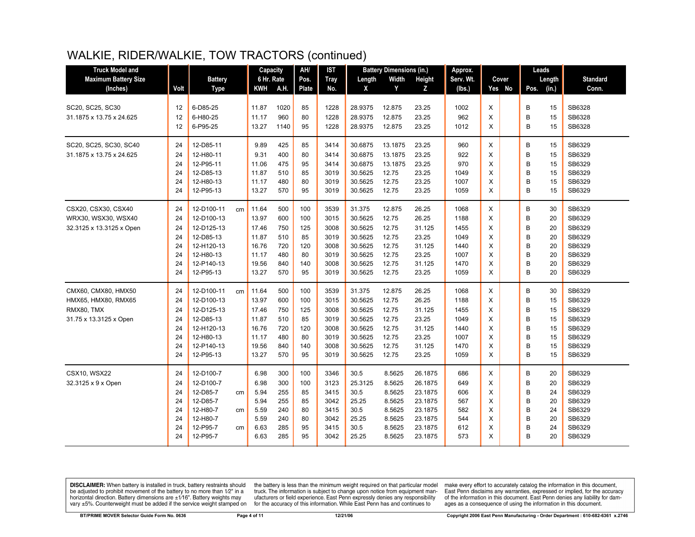| <b>Truck Model and</b>      |      |                  |       | Capacity   | AH/   | <b>IST</b>  |         | <b>Battery Dimensions (in.)</b> |         | Approx.   |   |        | Leads |        |                 |
|-----------------------------|------|------------------|-------|------------|-------|-------------|---------|---------------------------------|---------|-----------|---|--------|-------|--------|-----------------|
| <b>Maximum Battery Size</b> |      | <b>Battery</b>   |       | 6 Hr. Rate | Pos.  | <b>Tray</b> | Length  | Width                           | Height  | Serv. Wt. |   | Cover  |       | Length | <b>Standard</b> |
| (Inches)                    | Volt | <b>Type</b>      | KWH   | A.H.       | Plate | No.         | X       | Y                               | z       | (lbs.)    |   | Yes No | Pos.  | (in.)  | Conn.           |
|                             |      |                  |       |            |       |             |         |                                 |         |           |   |        |       |        |                 |
| SC20, SC25, SC30            | 12   | 6-D85-25         | 11.87 | 1020       | 85    | 1228        | 28.9375 | 12.875                          | 23.25   | 1002      | X |        | B     | 15     | SB6328          |
| 31.1875 x 13.75 x 24.625    | 12   | 6-H80-25         | 11.17 | 960        | 80    | 1228        | 28.9375 | 12.875                          | 23.25   | 962       | X |        | B     | 15     | SB6328          |
|                             | 12   | 6-P95-25         | 13.27 | 1140       | 95    | 1228        | 28.9375 | 12.875                          | 23.25   | 1012      | X |        | B     | 15     | SB6328          |
| SC20, SC25, SC30, SC40      | 24   | 12-D85-11        | 9.89  | 425        | 85    | 3414        | 30.6875 | 13.1875                         | 23.25   | 960       | X |        | В     | 15     | SB6329          |
| 31.1875 x 13.75 x 24.625    | 24   | 12-H80-11        | 9.31  | 400        | 80    | 3414        | 30.6875 | 13.1875                         | 23.25   | 922       | X |        | B     | 15     | SB6329          |
|                             | 24   | 12-P95-11        | 11.06 | 475        | 95    | 3414        | 30.6875 | 13.1875                         | 23.25   | 970       | X |        | B     | 15     | SB6329          |
|                             | 24   | 12-D85-13        | 11.87 | 510        | 85    | 3019        | 30.5625 | 12.75                           | 23.25   | 1049      | X |        | B     | 15     | SB6329          |
|                             | 24   | 12-H80-13        | 11.17 | 480        | 80    | 3019        | 30.5625 | 12.75                           | 23.25   | 1007      | X |        | B     | 15     | SB6329          |
|                             | 24   | 12-P95-13        | 13.27 | 570        | 95    | 3019        | 30.5625 | 12.75                           | 23.25   | 1059      | X |        | B     | 15     | SB6329          |
| CSX20, CSX30, CSX40         | 24   | 12-D100-11<br>cm | 11.64 | 500        | 100   | 3539        | 31.375  | 12.875                          | 26.25   | 1068      | X |        | B     | 30     | SB6329          |
| WRX30, WSX30, WSX40         | 24   | 12-D100-13       | 13.97 | 600        | 100   | 3015        | 30.5625 | 12.75                           | 26.25   | 1188      | X |        | B     | 20     | SB6329          |
| 32.3125 x 13.3125 x Open    | 24   | 12-D125-13       | 17.46 | 750        | 125   | 3008        | 30.5625 | 12.75                           | 31.125  | 1455      | X |        | B     | 20     | SB6329          |
|                             | 24   | 12-D85-13        | 11.87 | 510        | 85    | 3019        | 30.5625 | 12.75                           | 23.25   | 1049      | X |        | B     | 20     | SB6329          |
|                             | 24   | 12-H120-13       | 16.76 | 720        | 120   | 3008        | 30.5625 | 12.75                           | 31.125  | 1440      | X |        | B     | 20     | SB6329          |
|                             | 24   | 12-H80-13        | 11.17 | 480        | 80    | 3019        | 30.5625 | 12.75                           | 23.25   | 1007      | X |        | B     | 20     | SB6329          |
|                             | 24   | 12-P140-13       | 19.56 | 840        | 140   | 3008        | 30.5625 | 12.75                           | 31.125  | 1470      | X |        | B     | 20     | SB6329          |
|                             | 24   | 12-P95-13        | 13.27 | 570        | 95    | 3019        | 30.5625 | 12.75                           | 23.25   | 1059      | X |        | B     | 20     | SB6329          |
| CMX60, CMX80, HMX50         | 24   | 12-D100-11<br>cm | 11.64 | 500        | 100   | 3539        | 31.375  | 12.875                          | 26.25   | 1068      | X |        | В     | 30     | SB6329          |
| HMX65, HMX80, RMX65         | 24   | 12-D100-13       | 13.97 | 600        | 100   | 3015        | 30.5625 | 12.75                           | 26.25   | 1188      | X |        | В     | 15     | SB6329          |
| RMX80, TMX                  | 24   | 12-D125-13       | 17.46 | 750        | 125   | 3008        | 30.5625 | 12.75                           | 31.125  | 1455      | X |        | B     | 15     | SB6329          |
| 31.75 x 13.3125 x Open      | 24   | 12-D85-13        | 11.87 | 510        | 85    | 3019        | 30.5625 | 12.75                           | 23.25   | 1049      | X |        | B     | 15     | SB6329          |
|                             | 24   | 12-H120-13       | 16.76 | 720        | 120   | 3008        | 30.5625 | 12.75                           | 31.125  | 1440      | X |        | B     | 15     | SB6329          |
|                             | 24   | 12-H80-13        | 11.17 | 480        | 80    | 3019        | 30.5625 | 12.75                           | 23.25   | 1007      | X |        | B     | 15     | SB6329          |
|                             | 24   | 12-P140-13       | 19.56 | 840        | 140   | 3008        | 30.5625 | 12.75                           | 31.125  | 1470      | X |        | B     | 15     | SB6329          |
|                             | 24   | 12-P95-13        | 13.27 | 570        | 95    | 3019        | 30.5625 | 12.75                           | 23.25   | 1059      | X |        | B     | 15     | SB6329          |
| <b>CSX10. WSX22</b>         | 24   | 12-D100-7        | 6.98  | 300        | 100   | 3346        | 30.5    | 8.5625                          | 26.1875 | 686       | X |        | В     | 20     | SB6329          |
| 32.3125 x 9 x Open          | 24   | 12-D100-7        | 6.98  | 300        | 100   | 3123        | 25.3125 | 8.5625                          | 26.1875 | 649       | X |        | В     | 20     | SB6329          |
|                             | 24   | 12-D85-7<br>cm   | 5.94  | 255        | 85    | 3415        | 30.5    | 8.5625                          | 23.1875 | 606       | X |        | B     | 24     | SB6329          |
|                             | 24   | 12-D85-7         | 5.94  | 255        | 85    | 3042        | 25.25   | 8.5625                          | 23.1875 | 567       | X |        | B     | 20     | SB6329          |
|                             | 24   | 12-H80-7<br>cm   | 5.59  | 240        | 80    | 3415        | 30.5    | 8.5625                          | 23.1875 | 582       | X |        | B     | 24     | SB6329          |
|                             | 24   | 12-H80-7         | 5.59  | 240        | 80    | 3042        | 25.25   | 8.5625                          | 23.1875 | 544       | X |        | B     | 20     | SB6329          |
|                             | 24   | 12-P95-7<br>cm   | 6.63  | 285        | 95    | 3415        | 30.5    | 8.5625                          | 23.1875 | 612       | X |        | B     | 24     | SB6329          |
|                             | 24   | 12-P95-7         | 6.63  | 285        | 95    | 3042        | 25.25   | 8.5625                          | 23.1875 | 573       | X |        | B     | 20     | SB6329          |
|                             |      |                  |       |            |       |             |         |                                 |         |           |   |        |       |        |                 |

**DISCLAIMER:** When battery is installed in truck, battery restraints should be adjusted to prohibit movement of the battery to no more than  $1/2$ " in a horizontal direction. Battery dimensions are  $\pm 1/16$ ". Battery weig vary ±5%. Counterweight must be added if the service weight stamped on

the battery is less than the minimum weight required on that particular model<br>truck. The information is subject to change upon notice from equipment manufacturers or field experience. East Penn expressly denies any responsibility for the accuracy of this information. While East Penn has and continues to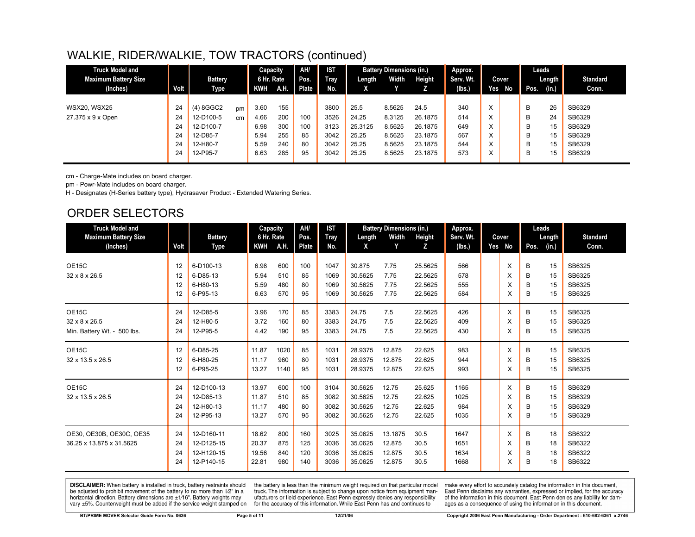| <b>Truck Model and</b>      |             |                |    | Capacity   |      | AH/   | <b>IST</b>  |         | <b>Battery Dimensions (in.)</b> |         | Approx.   |                   |       |      | Leads  |                 |
|-----------------------------|-------------|----------------|----|------------|------|-------|-------------|---------|---------------------------------|---------|-----------|-------------------|-------|------|--------|-----------------|
| <b>Maximum Battery Size</b> |             | <b>Battery</b> |    | 6 Hr. Rate |      | Pos.  | <b>Tray</b> | Length  | Width                           | Height  | Serv. Wt. |                   | Cover |      | Length | <b>Standard</b> |
| (Inches)                    | <b>Volt</b> | Type           |    | KWH        | A.H. | Plate | No.         |         |                                 |         | (lbs.)    | Yes               | No    | Pos. | (in.)  | Conn.           |
|                             |             |                |    |            |      |       |             |         |                                 |         |           |                   |       |      |        |                 |
| <b>WSX20, WSX25</b>         | 24          | (4) 8GGC2      | pm | 3.60       | 155  |       | 3800        | 25.5    | 8.5625                          | 24.5    | 340       | X                 |       | B    | 26     | SB6329          |
| 27.375 x 9 x Open           | 24          | 12-D100-5      | cm | 4.66       | 200  | 100   | 3526        | 24.25   | 8.3125                          | 26.1875 | 514       | X                 |       | B    | 24     | SB6329          |
|                             | 24          | 12-D100-7      |    | 6.98       | 300  | 100   | 3123        | 25.3125 | 8.5625                          | 26.1875 | 649       | $\sqrt{}$<br>ㅅ    |       | B    | 15     | SB6329          |
|                             | 24          | 12-D85-7       |    | 5.94       | 255  | 85    | 3042        | 25.25   | 8.5625                          | 23.1875 | 567       | $\checkmark$<br>v |       | B    | 15     | SB6329          |
|                             | 24          | 12-H80-7       |    | 5.59       | 240  | 80    | 3042        | 25.25   | 8.5625                          | 23.1875 | 544       | $\sqrt{}$<br>ᄉ    |       | B    | 15     | SB6329          |
|                             | 24          | 12-P95-7       |    | 6.63       | 285  | 95    | 3042        | 25.25   | 8.5625                          | 23.1875 | 573       | $\checkmark$<br>⋏ |       | B    | 15     | SB6329          |
|                             |             |                |    |            |      |       |             |         |                                 |         |           |                   |       |      |        |                 |

cm - Charge-Mate includes on board charger.

pm - Powr-Mate includes on board charger.

H - Designates (H-Series battery type), Hydrasaver Product - Extended Watering Series.

# ORDER SELECTORS

| <b>Truck Model and</b>                                |                      |                                                      | Capacity                         |                          | AH/                      | <b>IST</b>                   |                                          | <b>Battery Dimensions (in.)</b>       |                                          | Approx.                      |                  |                  | Leads                |                                      |
|-------------------------------------------------------|----------------------|------------------------------------------------------|----------------------------------|--------------------------|--------------------------|------------------------------|------------------------------------------|---------------------------------------|------------------------------------------|------------------------------|------------------|------------------|----------------------|--------------------------------------|
| <b>Maximum Battery Size</b>                           |                      | <b>Battery</b>                                       | 6 Hr. Rate                       |                          | Pos.                     | <b>Tray</b>                  | Length                                   | Width                                 | Height                                   | Serv. Wt.                    | Cover            |                  | Length               | <b>Standard</b>                      |
| (Inches)                                              | Volt                 | Type                                                 | KWH                              | A.H.                     | Plate                    | No.                          | X                                        | Y                                     | z                                        | (lbs.)                       | Yes No           | Pos.             | (in.)                | Conn.                                |
| OE15C<br>32 x 8 x 26.5                                | 12<br>12<br>12<br>12 | 6-D100-13<br>6-D85-13<br>6-H80-13<br>6-P95-13        | 6.98<br>5.94<br>5.59<br>6.63     | 600<br>510<br>480<br>570 | 100<br>85<br>80<br>95    | 1047<br>1069<br>1069<br>1069 | 30.875<br>30.5625<br>30.5625<br>30.5625  | 7.75<br>7.75<br>7.75<br>7.75          | 25.5625<br>22.5625<br>22.5625<br>22.5625 | 566<br>578<br>555<br>584     | X<br>X<br>X<br>X | B<br>B<br>B<br>в | 15<br>15<br>15<br>15 | SB6325<br>SB6325<br>SB6325<br>SB6325 |
| OE15C<br>32 x 8 x 26.5<br>Min. Battery Wt. - 500 lbs. | 24<br>24<br>24       | 12-D85-5<br>12-H80-5<br>12-P95-5                     | 3.96<br>3.72<br>4.42             | 170<br>160<br>190        | 85<br>80<br>95           | 3383<br>3383<br>3383         | 24.75<br>24.75<br>24.75                  | 7.5<br>7.5<br>7.5                     | 22.5625<br>22.5625<br>22.5625            | 426<br>409<br>430            | X<br>X<br>X      | B<br>B<br>B      | 15<br>15<br>15       | SB6325<br>SB6325<br>SB6325           |
| OE15C<br>32 x 13.5 x 26.5                             | 12<br>12<br>12       | 6-D85-25<br>6-H80-25<br>6-P95-25                     | 11.87<br>11.17<br>13.27          | 1020<br>960<br>1140      | 85<br>80<br>95           | 1031<br>1031<br>1031         | 28.9375<br>28.9375<br>28.9375            | 12.875<br>12.875<br>12.875            | 22.625<br>22.625<br>22.625               | 983<br>944<br>993            | X<br>X<br>X      | B<br>B<br>B      | 15<br>15<br>15       | SB6325<br>SB6325<br>SB6325           |
| OE15C<br>32 x 13.5 x 26.5                             | 24<br>24<br>24<br>24 | 12-D100-13<br>12-D85-13<br>12-H80-13<br>12-P95-13    | 13.97<br>11.87<br>11.17<br>13.27 | 600<br>510<br>480<br>570 | 100<br>85<br>80<br>95    | 3104<br>3082<br>3082<br>3082 | 30.5625<br>30.5625<br>30.5625<br>30.5625 | 12.75<br>12.75<br>12.75<br>12.75      | 25.625<br>22.625<br>22.625<br>22.625     | 1165<br>1025<br>984<br>1035  | X<br>X<br>X<br>X | B<br>B<br>B<br>в | 15<br>15<br>15<br>15 | SB6329<br>SB6329<br>SB6329<br>SB6329 |
| OE30, OE30B, OE30C, OE35<br>36.25 x 13.875 x 31.5625  | 24<br>24<br>24<br>24 | 12-D160-11<br>12-D125-15<br>12-H120-15<br>12-P140-15 | 18.62<br>20.37<br>19.56<br>22.81 | 800<br>875<br>840<br>980 | 160<br>125<br>120<br>140 | 3025<br>3036<br>3036<br>3036 | 35.0625<br>35.0625<br>35.0625<br>35.0625 | 13.1875<br>12.875<br>12.875<br>12.875 | 30.5<br>30.5<br>30.5<br>30.5             | 1647<br>1651<br>1634<br>1668 | X<br>X<br>X<br>X | B<br>B<br>в<br>в | 18<br>18<br>18<br>18 | SB6322<br>SB6322<br>SB6322<br>SB6322 |

**DISCLAIMER:** When battery is installed in truck, battery restraints should be adjusted to prohibit movement of the battery to no more than 1/2" in a horizontal direction. Battery dimensions are  $\pm 1/16$ ". Battery weights may vary ±5%. Counterweight must be added if the service weight stamped on

the battery is less than the minimum weight required on that particular model<br>truck. The information is subject to change upon notice from equipment manufacturers or field experience. East Penn expressly denies any responsibility for the accuracy of this information. While East Penn has and continues to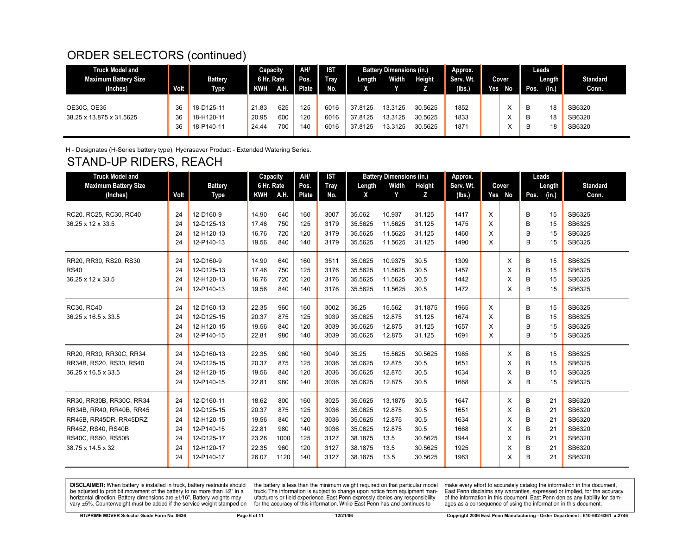# ORDER SELECTORS (continued)

| <b>Truck Model and</b><br><b>Maximum Battery Size</b><br>(Inches) | Volt <sub>b</sub> | <b>Battery</b><br><b>Type</b>          | Capacity<br>6 Hr. Rate<br>KWH | <b>A.H.</b>       | AH/<br>Pos.<br><b>Plate</b> | <b>IST</b><br><b>Tray</b><br>No. | Length                        | <b>Battery Dimensions (in.)</b><br>Width | Height                        | Approx.<br>Serv. Wt.<br>(Ibs.) | Yes. | <b>Cover</b><br>No          | Leads<br>Pos. | Length<br>(in.) | <b>Standard</b><br>Conn.   |
|-------------------------------------------------------------------|-------------------|----------------------------------------|-------------------------------|-------------------|-----------------------------|----------------------------------|-------------------------------|------------------------------------------|-------------------------------|--------------------------------|------|-----------------------------|---------------|-----------------|----------------------------|
| OE30C, OE35<br>38.25 x 13.875 x 31.5625                           | 36<br>36<br>36    | 18-D125-11<br>18-H120-11<br>18-P140-11 | 21.83<br>20.95<br>24.44       | 625<br>600<br>700 | 125<br>120<br>140           | 6016<br>6016<br>6016             | 37.8125<br>37.8125<br>37.8125 | 13.3125<br>13.3125<br>13.3125            | 30.5625<br>30.5625<br>30.5625 | 1852<br>1833<br>1871           |      | v<br>́<br>⌒<br>$\cdot$<br>⌒ | B<br>B<br>в   | 18<br>18<br>18  | SB6320<br>SB6320<br>SB6320 |

H - Designates (H-Series battery type), Hydrasaver Product - Extended Watering Series.

# STAND-UP RIDERS, REACH

| <b>Truck Model and</b>      |      |                | Capacity   |      | AH/          | <b>IST</b> |         | <b>Battery Dimensions (in.)</b> |         | Approx.   |   |          | Leads |        |                 |
|-----------------------------|------|----------------|------------|------|--------------|------------|---------|---------------------------------|---------|-----------|---|----------|-------|--------|-----------------|
| <b>Maximum Battery Size</b> |      | <b>Battery</b> | 6 Hr. Rate |      | Pos.         | Tray       | Length  | Width                           | Height  | Serv. Wt. |   | Cover    |       | Length | <b>Standard</b> |
| (Inches)                    | Volt | Type           | <b>KWH</b> | A.H. | <b>Plate</b> | No.        | X       | Y                               | z       | (lbs.)    |   | Yes No   | Pos.  | (in.)  | Conn.           |
|                             |      |                |            |      |              |            |         |                                 |         |           |   |          |       |        |                 |
| RC20, RC25, RC30, RC40      | 24   | 12-D160-9      | 14.90      | 640  | 160          | 3007       | 35.062  | 10.937                          | 31.125  | 1417      | X |          | В     | 15     | SB6325          |
| 36.25 x 12 x 33.5           | 24   | 12-D125-13     | 17.46      | 750  | 125          | 3179       | 35.5625 | 11.5625                         | 31.125  | 1475      | X |          | B     | 15     | SB6325          |
|                             | 24   | 12-H120-13     | 16.76      | 720  | 120          | 3179       | 35.5625 | 11.5625                         | 31.125  | 1460      | X |          | B     | 15     | SB6325          |
|                             | 24   | 12-P140-13     | 19.56      | 840  | 140          | 3179       | 35.5625 | 11.5625                         | 31.125  | 1490      | X |          | B     | 15     | SB6325          |
| RR20, RR30, RS20, RS30      | 24   | 12-D160-9      | 14.90      | 640  | 160          | 3511       | 35.0625 | 10.9375                         | 30.5    | 1309      |   | $\times$ | В     | 15     | SB6325          |
| <b>RS40</b>                 | 24   | 12-D125-13     | 17.46      | 750  | 125          | 3176       | 35.5625 | 11.5625                         | 30.5    | 1457      |   | X        | B     | 15     | SB6325          |
| 36.25 x 12 x 33.5           | 24   | 12-H120-13     | 16.76      | 720  | 120          | 3176       | 35.5625 | 11.5625                         | 30.5    | 1442      |   | X        | В     | 15     | SB6325          |
|                             | 24   | 12-P140-13     | 19.56      | 840  | 140          | 3176       | 35.5625 | 11.5625                         | 30.5    | 1472      |   | X        | B     | 15     | SB6325          |
| RC30, RC40                  | 24   | 12-D160-13     | 22.35      | 960  | 160          | 3002       | 35.25   | 15.562                          | 31.1875 | 1965      | X |          | В     | 15     | SB6325          |
| 36.25 x 16.5 x 33.5         | 24   | 12-D125-15     | 20.37      | 875  | 125          | 3039       | 35.0625 | 12.875                          | 31.125  | 1674      | X |          | B     | 15     | SB6325          |
|                             | 24   | 12-H120-15     | 19.56      | 840  | 120          | 3039       | 35.0625 | 12.875                          | 31.125  | 1657      | X |          | B     | 15     | SB6325          |
|                             | 24   | 12-P140-15     | 22.81      | 980  | 140          | 3039       | 35.0625 | 12.875                          | 31.125  | 1691      | X |          | В     | 15     | SB6325          |
| RR20, RR30, RR30C, RR34     | 24   | 12-D160-13     | 22.35      | 960  | 160          | 3049       | 35.25   | 15.5625                         | 30.5625 | 1985      |   | $\times$ | В     | 15     | SB6325          |
| RR34B, RS20, RS30, RS40     | 24   | 12-D125-15     | 20.37      | 875  | 125          | 3036       | 35.0625 | 12.875                          | 30.5    | 1651      |   | X        | В     | 15     | SB6325          |
| 36.25 x 16.5 x 33.5         | 24   | 12-H120-15     | 19.56      | 840  | 120          | 3036       | 35.0625 | 12.875                          | 30.5    | 1634      |   | X        | В     | 15     | SB6325          |
|                             | 24   | 12-P140-15     | 22.81      | 980  | 140          | 3036       | 35.0625 | 12.875                          | 30.5    | 1668      |   | X        | В     | 15     | SB6325          |
| RR30, RR30B, RR30C, RR34    | 24   | 12-D160-11     | 18.62      | 800  | 160          | 3025       | 35.0625 | 13.1875                         | 30.5    | 1647      |   | X        | В     | 21     | SB6320          |
| RR34B, RR40, RR40B, RR45    | 24   | 12-D125-15     | 20.37      | 875  | 125          | 3036       | 35.0625 | 12.875                          | 30.5    | 1651      |   | X        | В     | 21     | SB6320          |
| RR45B, RR45DR, RR45DRZ      | 24   | 12-H120-15     | 19.56      | 840  | 120          | 3036       | 35.0625 | 12.875                          | 30.5    | 1634      |   | X        | В     | 21     | SB6320          |
| RR45Z, RS40, RS40B          | 24   | 12-P140-15     | 22.81      | 980  | 140          | 3036       | 35.0625 | 12.875                          | 30.5    | 1668      |   | X        | В     | 21     | SB6320          |
| RS40C, RS50, RS50B          | 24   | 12-D125-17     | 23.28      | 1000 | 125          | 3127       | 38.1875 | 13.5                            | 30.5625 | 1944      |   | X        | В     | 21     | SB6320          |
| 38.75 x 14.5 x 32           | 24   | 12-H120-17     | 22.35      | 960  | 120          | 3127       | 38.1875 | 13.5                            | 30.5625 | 1925      |   | X        | В     | 21     | SB6320          |
|                             | 24   | 12-P140-17     | 26.07      | 1120 | 140          | 3127       | 38.1875 | 13.5                            | 30.5625 | 1963      |   | X        | В     | 21     | SB6320          |

**DISCLAIMER:** When battery is installed in truck, battery restraints should be adjusted to prohibit movement of the battery to no more than 1/2" in a horizontal direction. Battery dimensions are ±1/16". Battery weights may vary ±5%. Counterweight must be added if the service weight stamped on

the battery is less than the minimum weight required on that particular model truck. The information is subject to change upon notice from equipment manufacturers or field experience. East Penn expressly denies any responsibility for the accuracy of this information. While East Penn has and continues to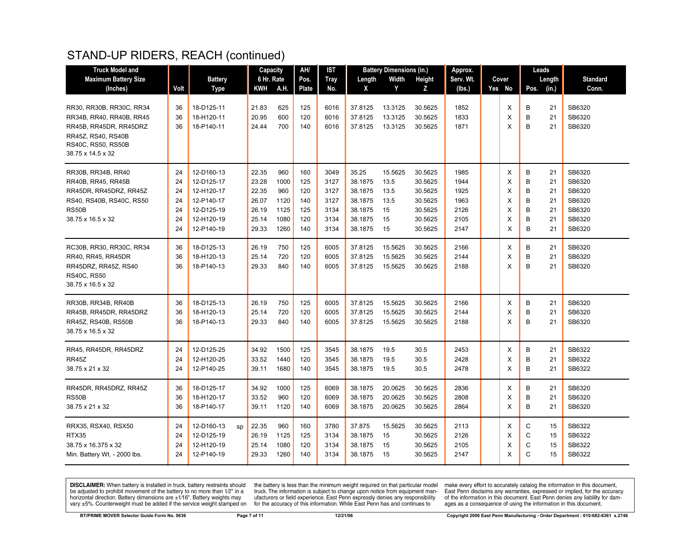## STAND-UP RIDERS, REACH (continued)

| <b>Truck Model and</b>                     |      |                  |       | Capacity   | AH/   | <b>IST</b>  |         | <b>Battery Dimensions (in.)</b> |         | Approx.   |        |      | Leads  |                 |
|--------------------------------------------|------|------------------|-------|------------|-------|-------------|---------|---------------------------------|---------|-----------|--------|------|--------|-----------------|
| <b>Maximum Battery Size</b>                |      | <b>Battery</b>   |       | 6 Hr. Rate | Pos.  | <b>Tray</b> | Length  | Width                           | Height  | Serv. Wt. | Cover  |      | Length | <b>Standard</b> |
| (Inches)                                   | Volt | Type             | KWH   | A.H.       | Plate | No.         | X       | Y                               | Z.      | (lbs.)    | Yes No | Pos. | (in.)  | Conn.           |
|                                            |      |                  |       |            |       |             |         |                                 |         |           |        |      |        |                 |
| RR30, RR30B, RR30C, RR34                   | 36   | 18-D125-11       | 21.83 | 625        | 125   | 6016        | 37.8125 | 13.3125                         | 30.5625 | 1852      | X      | В    | 21     | SB6320          |
| RR34B, RR40, RR40B, RR45                   | 36   | 18-H120-11       | 20.95 | 600        | 120   | 6016        | 37.8125 | 13.3125                         | 30.5625 | 1833      | X      | В    | 21     | SB6320          |
| RR45B, RR45DR, RR45DRZ                     | 36   | 18-P140-11       | 24.44 | 700        | 140   | 6016        | 37.8125 | 13.3125                         | 30.5625 | 1871      | X      | B    | 21     | SB6320          |
| RR45Z, RS40, RS40B                         |      |                  |       |            |       |             |         |                                 |         |           |        |      |        |                 |
| RS40C, RS50, RS50B                         |      |                  |       |            |       |             |         |                                 |         |           |        |      |        |                 |
| 38.75 x 14.5 x 32                          |      |                  |       |            |       |             |         |                                 |         |           |        |      |        |                 |
| RR30B, RR34B, RR40                         | 24   | 12-D160-13       | 22.35 | 960        | 160   | 3049        | 35.25   | 15.5625                         | 30.5625 | 1985      | X      | В    | 21     | SB6320          |
| RR40B, RR45, RR45B                         | 24   | 12-D125-17       | 23.28 | 1000       | 125   | 3127        | 38.1875 | 13.5                            | 30.5625 | 1944      | X      | B    | 21     | SB6320          |
| RR45DR, RR45DRZ, RR45Z                     | 24   | 12-H120-17       | 22.35 | 960        | 120   | 3127        | 38.1875 | 13.5                            | 30.5625 | 1925      | X      | B    | 21     | SB6320          |
| RS40, RS40B, RS40C, RS50                   | 24   | 12-P140-17       | 26.07 | 1120       | 140   | 3127        | 38.1875 | 13.5                            | 30.5625 | 1963      | Χ      | B    | 21     | SB6320          |
| RS50B                                      | 24   | 12-D125-19       | 26.19 | 1125       | 125   | 3134        | 38.1875 | 15                              | 30.5625 | 2126      | X      | B    | 21     | SB6320          |
| 38.75 x 16.5 x 32                          | 24   | 12-H120-19       | 25.14 | 1080       | 120   | 3134        | 38.1875 | 15                              | 30.5625 | 2105      | х      | B    | 21     | SB6320          |
|                                            | 24   | 12-P140-19       | 29.33 | 1260       | 140   | 3134        | 38.1875 | 15                              | 30.5625 | 2147      | X      | B    | 21     | SB6320          |
|                                            |      |                  |       |            |       |             |         |                                 |         |           |        |      |        |                 |
| RC30B, RR30, RR30C, RR34                   | 36   | 18-D125-13       | 26.19 | 750        | 125   | 6005        | 37.8125 | 15.5625                         | 30.5625 | 2166      | Х      | В    | 21     | SB6320          |
| RR40, RR45, RR45DR                         | 36   | 18-H120-13       | 25.14 | 720        | 120   | 6005        | 37.8125 | 15.5625                         | 30.5625 | 2144      | X      | B    | 21     | SB6320          |
| RR45DRZ, RR45Z, RS40<br><b>RS40C, RS50</b> | 36   | 18-P140-13       | 29.33 | 840        | 140   | 6005        | 37.8125 | 15.5625                         | 30.5625 | 2188      | X      | B    | 21     | SB6320          |
| 38.75 x 16.5 x 32                          |      |                  |       |            |       |             |         |                                 |         |           |        |      |        |                 |
|                                            |      |                  |       |            |       |             |         |                                 |         |           |        |      |        |                 |
| RR30B, RR34B, RR40B                        | 36   | 18-D125-13       | 26.19 | 750        | 125   | 6005        | 37.8125 | 15.5625                         | 30.5625 | 2166      | X      | B    | 21     | SB6320          |
| RR45B, RR45DR, RR45DRZ                     | 36   | 18-H120-13       | 25.14 | 720        | 120   | 6005        | 37.8125 | 15.5625                         | 30.5625 | 2144      | X      | B    | 21     | SB6320          |
| RR45Z, RS40B, RS50B                        | 36   | 18-P140-13       | 29.33 | 840        | 140   | 6005        | 37.8125 | 15.5625                         | 30.5625 | 2188      | X      | B    | 21     | SB6320          |
| 38.75 x 16.5 x 32                          |      |                  |       |            |       |             |         |                                 |         |           |        |      |        |                 |
| RR45, RR45DR, RR45DRZ                      | 24   | 12-D125-25       | 34.92 | 1500       | 125   | 3545        | 38.1875 | 19.5                            | 30.5    | 2453      | X      | В    | 21     | SB6322          |
| RR45Z                                      | 24   | 12-H120-25       | 33.52 | 1440       | 120   | 3545        | 38.1875 | 19.5                            | 30.5    | 2428      | X      | B    | 21     | SB6322          |
| 38.75 x 21 x 32                            | 24   | 12-P140-25       | 39.11 | 1680       | 140   | 3545        | 38.1875 | 19.5                            | 30.5    | 2478      | X      | B    | 21     | SB6322          |
|                                            |      |                  |       |            |       |             |         |                                 |         |           |        |      |        |                 |
| RR45DR, RR45DRZ, RR45Z                     | 36   | 18-D125-17       | 34.92 | 1000       | 125   | 6069        | 38.1875 | 20.0625                         | 30.5625 | 2836      | х      | B    | 21     | SB6320          |
| RS50B                                      | 36   | 18-H120-17       | 33.52 | 960        | 120   | 6069        | 38.1875 | 20.0625                         | 30.5625 | 2808      | X      | В    | 21     | SB6320          |
| 38.75 x 21 x 32                            | 36   | 18-P140-17       | 39.11 | 1120       | 140   | 6069        | 38.1875 | 20.0625                         | 30.5625 | 2864      | X      | B    | 21     | SB6320          |
| RRX35, RSX40, RSX50                        | 24   | 12-D160-13<br>sp | 22.35 | 960        | 160   | 3780        | 37.875  | 15.5625                         | 30.5625 | 2113      | X      | С    | 15     | SB6322          |
| RTX35                                      | 24   | 12-D125-19       | 26.19 | 1125       | 125   | 3134        | 38.1875 | 15                              | 30.5625 | 2126      | X      | C    | 15     | SB6322          |
| 38.75 x 16.375 x 32                        | 24   | 12-H120-19       | 25.14 | 1080       | 120   | 3134        | 38.1875 | 15                              | 30.5625 | 2105      | х      | C    | 15     | SB6322          |
| Min. Battery Wt. - 2000 lbs.               | 24   | 12-P140-19       | 29.33 | 1260       | 140   | 3134        | 38.1875 | 15                              | 30.5625 | 2147      | X      | C    | 15     | SB6322          |
|                                            |      |                  |       |            |       |             |         |                                 |         |           |        |      |        |                 |

**DISCLAIMER:** When battery is installed in truck, battery restraints should be adjusted to prohibit movement of the battery to no more than  $12^v$  in a horizontal direction. Battery dimensions are  $\pm 1/16^v$ . Battery wei

the battery is less than the minimum weight required on that particular model<br>truck. The information is subject to change upon notice from equipment man-<br>ufacturers or field experience. East Penn expressly denies any respo for the accuracy of this information. While East Penn has and continues to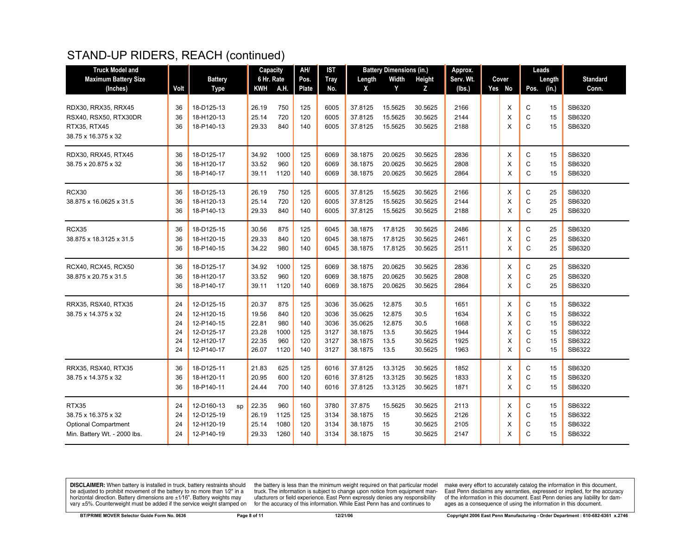## STAND-UP RIDERS, REACH (continued)

| <b>Truck Model and</b>       |      |                  | Capacity   |      | AH/   | <b>IST</b>  |         | <b>Battery Dimensions (in.)</b> |         | Approx.   |          | Leads              |                 |
|------------------------------|------|------------------|------------|------|-------|-------------|---------|---------------------------------|---------|-----------|----------|--------------------|-----------------|
| <b>Maximum Battery Size</b>  |      | <b>Battery</b>   | 6 Hr. Rate |      | Pos.  | <b>Tray</b> | Length  | Width                           | Height  | Serv. Wt. | Cover    | Length             | <b>Standard</b> |
| (Inches)                     | Volt | <b>Type</b>      | KWH        | A.H. | Plate | No.         | X       | Y                               | z       | (lbs.)    | Yes No   | (in.)<br>Pos.      | Conn.           |
|                              |      |                  |            |      |       |             |         |                                 |         |           |          |                    |                 |
| RDX30, RRX35, RRX45          | 36   | 18-D125-13       | 26.19      | 750  | 125   | 6005        | 37.8125 | 15.5625                         | 30.5625 | 2166      | X        | C<br>15            | SB6320          |
| RSX40, RSX50, RTX30DR        | 36   | 18-H120-13       | 25.14      | 720  | 120   | 6005        | 37.8125 | 15.5625                         | 30.5625 | 2144      | X        | C<br>15            | SB6320          |
| RTX35, RTX45                 | 36   | 18-P140-13       | 29.33      | 840  | 140   | 6005        | 37.8125 | 15.5625                         | 30.5625 | 2188      | X        | C<br>15            | SB6320          |
| 38.75 x 16.375 x 32          |      |                  |            |      |       |             |         |                                 |         |           |          |                    |                 |
| RDX30, RRX45, RTX45          | 36   | 18-D125-17       | 34.92      | 1000 | 125   | 6069        | 38.1875 | 20.0625                         | 30.5625 | 2836      | X        | C<br>15            | SB6320          |
| 38.75 x 20.875 x 32          | 36   | 18-H120-17       | 33.52      | 960  | 120   | 6069        | 38.1875 | 20.0625                         | 30.5625 | 2808      | X        | $\mathbf C$<br>15  | SB6320          |
|                              | 36   | 18-P140-17       | 39.11      | 1120 | 140   | 6069        | 38.1875 | 20.0625                         | 30.5625 | 2864      | X        | $\mathsf{C}$<br>15 | SB6320          |
| RCX30                        | 36   | 18-D125-13       | 26.19      | 750  | 125   | 6005        | 37.8125 | 15.5625                         | 30.5625 | 2166      | Χ        | С<br>25            | SB6320          |
| 38.875 x 16.0625 x 31.5      | 36   | 18-H120-13       | 25.14      | 720  | 120   | 6005        | 37.8125 | 15.5625                         | 30.5625 | 2144      | X        | $\mathbf C$<br>25  | SB6320          |
|                              | 36   | 18-P140-13       | 29.33      | 840  | 140   | 6005        | 37.8125 | 15.5625                         | 30.5625 | 2188      | X        | C<br>25            | SB6320          |
|                              |      |                  |            |      |       |             |         |                                 |         |           |          |                    |                 |
| RCX35                        | 36   | 18-D125-15       | 30.56      | 875  | 125   | 6045        | 38.1875 | 17.8125                         | 30.5625 | 2486      | X        | $\mathbf C$<br>25  | SB6320          |
| 38.875 x 18.3125 x 31.5      | 36   | 18-H120-15       | 29.33      | 840  | 120   | 6045        | 38.1875 | 17.8125                         | 30.5625 | 2461      | X        | C<br>25            | SB6320          |
|                              | 36   | 18-P140-15       | 34.22      | 980  | 140   | 6045        | 38.1875 | 17.8125                         | 30.5625 | 2511      | X        | $\mathsf{C}$<br>25 | SB6320          |
| RCX40, RCX45, RCX50          | 36   | 18-D125-17       | 34.92      | 1000 | 125   | 6069        | 38.1875 | 20.0625                         | 30.5625 | 2836      | X        | $\mathbf C$<br>25  | SB6320          |
| 38.875 x 20.75 x 31.5        | 36   | 18-H120-17       | 33.52      | 960  | 120   | 6069        | 38.1875 | 20.0625                         | 30.5625 | 2808      | X        | $\mathbf C$<br>25  | SB6320          |
|                              | 36   | 18-P140-17       | 39.11      | 1120 | 140   | 6069        | 38.1875 | 20.0625                         | 30.5625 | 2864      | X        | $\mathsf{C}$<br>25 | SB6320          |
| RRX35, RSX40, RTX35          | 24   | 12-D125-15       | 20.37      | 875  | 125   | 3036        | 35.0625 | 12.875                          | 30.5    | 1651      | Χ        | С<br>15            | SB6322          |
| 38.75 x 14.375 x 32          | 24   | 12-H120-15       | 19.56      | 840  | 120   | 3036        | 35.0625 | 12.875                          | 30.5    | 1634      | X        | $\mathsf C$<br>15  | SB6322          |
|                              | 24   | 12-P140-15       | 22.81      | 980  | 140   | 3036        | 35.0625 | 12.875                          | 30.5    | 1668      | X        | $\mathsf{C}$<br>15 | SB6322          |
|                              | 24   | 12-D125-17       | 23.28      | 1000 | 125   | 3127        | 38.1875 | 13.5                            | 30.5625 | 1944      | X        | $\mathsf{C}$<br>15 | SB6322          |
|                              | 24   | 12-H120-17       | 22.35      | 960  | 120   | 3127        | 38.1875 | 13.5                            | 30.5625 | 1925      | X        | $\mathsf{C}$<br>15 | SB6322          |
|                              | 24   | 12-P140-17       | 26.07      | 1120 | 140   | 3127        | 38.1875 | 13.5                            | 30.5625 | 1963      | X        | $\mathsf{C}$<br>15 | SB6322          |
| RRX35, RSX40, RTX35          | 36   | 18-D125-11       | 21.83      | 625  | 125   | 6016        | 37.8125 | 13.3125                         | 30.5625 | 1852      | X        | C<br>15            | SB6320          |
| 38.75 x 14.375 x 32          | 36   | 18-H120-11       | 20.95      | 600  | 120   | 6016        | 37.8125 | 13.3125                         | 30.5625 | 1833      | X        | C<br>15            | SB6320          |
|                              | 36   | 18-P140-11       | 24.44      | 700  | 140   | 6016        | 37.8125 | 13.3125                         | 30.5625 | 1871      | $\times$ | $\mathsf{C}$<br>15 | SB6320          |
|                              |      |                  |            |      |       |             |         |                                 |         |           |          |                    |                 |
| RTX35                        | 24   | 12-D160-13<br>sp | 22.35      | 960  | 160   | 3780        | 37.875  | 15.5625                         | 30.5625 | 2113      | X        | С<br>15            | SB6322          |
| 38.75 x 16.375 x 32          | 24   | 12-D125-19       | 26.19      | 1125 | 125   | 3134        | 38.1875 | 15                              | 30.5625 | 2126      | X        | $\mathbf C$<br>15  | SB6322          |
| <b>Optional Compartment</b>  | 24   | 12-H120-19       | 25.14      | 1080 | 120   | 3134        | 38.1875 | 15                              | 30.5625 | 2105      | X        | C<br>15            | SB6322          |
| Min. Battery Wt. - 2000 lbs. | 24   | 12-P140-19       | 29.33      | 1260 | 140   | 3134        | 38.1875 | 15                              | 30.5625 | 2147      | X        | C<br>15            | SB6322          |
|                              |      |                  |            |      |       |             |         |                                 |         |           |          |                    |                 |

**DISCLAIMER:** When battery is installed in truck, battery restraints should be adjusted to prohibit movement of the battery to no more than  $12^v$  in a horizontal direction. Battery dimensions are  $\pm 1/16^v$ . Battery wei

the battery is less than the minimum weight required on that particular model<br>truck. The information is subject to change upon notice from equipment man-<br>ufacturers or field experience. East Penn expressly denies any respo for the accuracy of this information. While East Penn has and continues to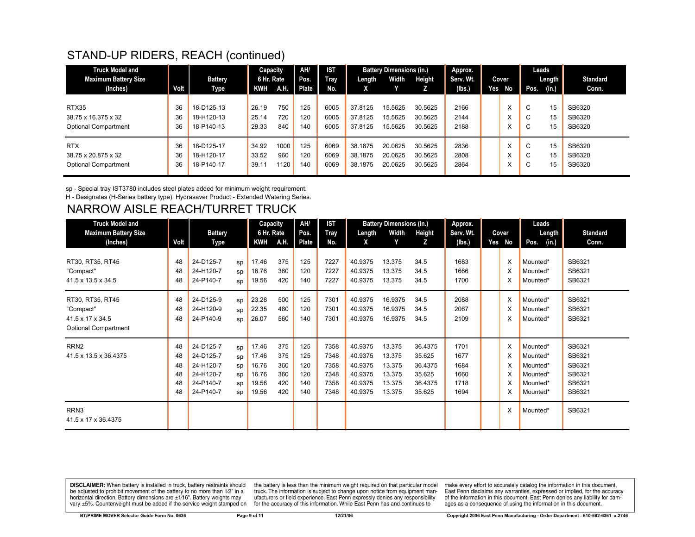## STAND-UP RIDERS, REACH (continued)

| <b>Truck Model and</b>      |      |                | Capacity   |      | AH/   | <b>IST</b> |         | <b>Battery Dimensions (in.)</b> |         | Approx.   |     |       |             | Leads                 |                 |
|-----------------------------|------|----------------|------------|------|-------|------------|---------|---------------------------------|---------|-----------|-----|-------|-------------|-----------------------|-----------------|
| <b>Maximum Battery Size</b> |      | <b>Battery</b> | 6 Hr. Rate |      | Pos.  | Trav       | Length  | Width                           | Height  | Serv. Wt. |     | Cover |             | Length $\blacksquare$ | <b>Standard</b> |
| (Inches)                    | Volt | Type           | KWH        | A.H. | Plate | No.        | A       |                                 |         | (lbs.)    | Yes | No    | Pos.        | (in.)                 | Conn.           |
|                             |      |                |            |      |       |            |         |                                 |         |           |     |       |             |                       |                 |
| RTX35                       | 36   | 18-D125-13     | 26.19      | 750  | 125   | 6005       | 37.8125 | 15.5625                         | 30.5625 | 2166      |     | ㅅ     | $\sim$<br>◡ | 15                    | SB6320          |
| 38.75 x 16.375 x 32         | 36   | 18-H120-13     | 25.14      | 720  | 120   | 6005       | 37.8125 | 15.5625                         | 30.5625 | 2144      |     | ㅅ     | $\sim$<br>U | 15                    | SB6320          |
| <b>Optional Compartment</b> | 36   | 18-P140-13     | 29.33      | 840  | 140   | 6005       | 37.8125 | 15.5625                         | 30.5625 | 2188      |     | ㅅ     | $\sim$<br>U | 15                    | SB6320          |
|                             |      |                |            |      |       |            |         |                                 |         |           |     |       |             |                       |                 |
| <b>RTX</b>                  | 36   | 18-D125-17     | 34.92      | 1000 | 125   | 6069       | 38.1875 | 20.0625                         | 30.5625 | 2836      |     | ⋏     | $\sim$<br>U | 15                    | SB6320          |
| 38.75 x 20.875 x 32         | 36   | 18-H120-17     | 33.52      | 960  | 120   | 6069       | 38.1875 | 20.0625                         | 30.5625 | 2808      |     | ㅅ     | $\sim$<br>U | 15                    | SB6320          |
| <b>Optional Compartment</b> | 36   | 18-P140-17     | 39.11      | 1120 | 140   | 6069       | 38.1875 | 20.0625                         | 30.5625 | 2864      |     | ㅅ     | $\sim$<br>◡ | 15                    | SB6320          |
|                             |      |                |            |      |       |            |         |                                 |         |           |     |       |             |                       |                 |

sp - Special tray IST3780 includes steel plates added for minimum weight requirement.

H - Designates (H-Series battery type), Hydrasaver Product - Extended Watering Series.

## NARROW AISLE REACH/TURRET TRUCK

| <b>Truck Model and</b>                                                           |                                  |                                                                            |                                  | <b>Capacity</b>                                    |                                        | AH/                                    | <b>IST</b>                                   |                                                                | <b>Battery Dimensions (in.)</b>                          |                                                             | Approx.                                      |     |             | Leads                                                                |                                                          |
|----------------------------------------------------------------------------------|----------------------------------|----------------------------------------------------------------------------|----------------------------------|----------------------------------------------------|----------------------------------------|----------------------------------------|----------------------------------------------|----------------------------------------------------------------|----------------------------------------------------------|-------------------------------------------------------------|----------------------------------------------|-----|-------------|----------------------------------------------------------------------|----------------------------------------------------------|
| <b>Maximum Battery Size</b>                                                      |                                  | <b>Battery</b>                                                             |                                  | 6 Hr. Rate                                         |                                        | Pos.                                   | <b>Tray</b>                                  | Length                                                         | Width                                                    | Height                                                      | Serv. Wt.                                    |     | Cover       | Length                                                               | <b>Standard</b>                                          |
| (Inches)                                                                         | Volt                             | Type                                                                       |                                  | KWH                                                | A.H.                                   | Plate                                  | No.                                          | X                                                              | Y                                                        | z                                                           | (Ibs.)                                       | Yes | No          | Pos.<br>(in.)                                                        | Conn.                                                    |
| RT30, RT35, RT45<br>"Compact"<br>41.5 x 13.5 x 34.5                              | 48<br>48<br>48                   | 24-D125-7<br>24-H120-7<br>24-P140-7                                        | SD<br>SD<br>sp                   | 17.46<br>16.76<br>19.56                            | 375<br>360<br>420                      | 125<br>120<br>140                      | 7227<br>7227<br>7227                         | 40.9375<br>40.9375<br>40.9375                                  | 13.375<br>13.375<br>13.375                               | 34.5<br>34.5<br>34.5                                        | 1683<br>1666<br>1700                         |     | X<br>X      | Mounted*<br>Mounted*<br>Mounted*                                     | SB6321<br>SB6321<br>SB6321                               |
| RT30, RT35, RT45<br>"Compact"<br>41.5 x 17 x 34.5<br><b>Optional Compartment</b> | 48<br>48<br>48                   | 24-D125-9<br>24-H120-9<br>24-P140-9                                        | SD<br>SD<br>sp                   | 23.28<br>22.35<br>26.07                            | 500<br>480<br>560                      | 125<br>120<br>140                      | 7301<br>7301<br>7301                         | 40.9375<br>40.9375<br>40.9375                                  | 16.9375<br>16.9375<br>16.9375                            | 34.5<br>34.5<br>34.5                                        | 2088<br>2067<br>2109                         |     | X<br>х      | Mounted*<br>Mounted*<br>Mounted*                                     | SB6321<br>SB6321<br>SB6321                               |
| RRN <sub>2</sub><br>41.5 x 13.5 x 36.4375                                        | 48<br>48<br>48<br>48<br>48<br>48 | 24-D125-7<br>24-D125-7<br>24-H120-7<br>24-H120-7<br>24-P140-7<br>24-P140-7 | sp<br>SD<br>sp<br>sp<br>SD<br>SD | 17.46<br>17.46<br>16.76<br>16.76<br>19.56<br>19.56 | 375<br>375<br>360<br>360<br>420<br>420 | 125<br>125<br>120<br>120<br>140<br>140 | 7358<br>7348<br>7358<br>7348<br>7358<br>7348 | 40.9375<br>40.9375<br>40.9375<br>40.9375<br>40.9375<br>40.9375 | 13.375<br>13.375<br>13.375<br>13.375<br>13.375<br>13.375 | 36.4375<br>35.625<br>36.4375<br>35.625<br>36.4375<br>35.625 | 1701<br>1677<br>1684<br>1660<br>1718<br>1694 |     | X<br>X<br>x | Mounted*<br>Mounted*<br>Mounted*<br>Mounted*<br>Mounted*<br>Mounted* | SB6321<br>SB6321<br>SB6321<br>SB6321<br>SB6321<br>SB6321 |
| RRN3<br>41.5 x 17 x 36.4375                                                      |                                  |                                                                            |                                  |                                                    |                                        |                                        |                                              |                                                                |                                                          |                                                             |                                              |     |             | Mounted*                                                             | SB6321                                                   |

**DISCLAIMER:** When battery is installed in truck, battery restraints should be adjusted to prohibit movement of the battery to no more than 1/2" in a horizontal direction. Battery dimensions are  $\pm 1/16$ ". Battery weights may vary ±5%. Counterweight must be added if the service weight stamped on

the battery is less than the minimum weight required on that particular model<br>truck. The information is subject to change upon notice from equipment manufacturers or field experience. East Penn expressly denies any responsibility for the accuracy of this information. While East Penn has and continues to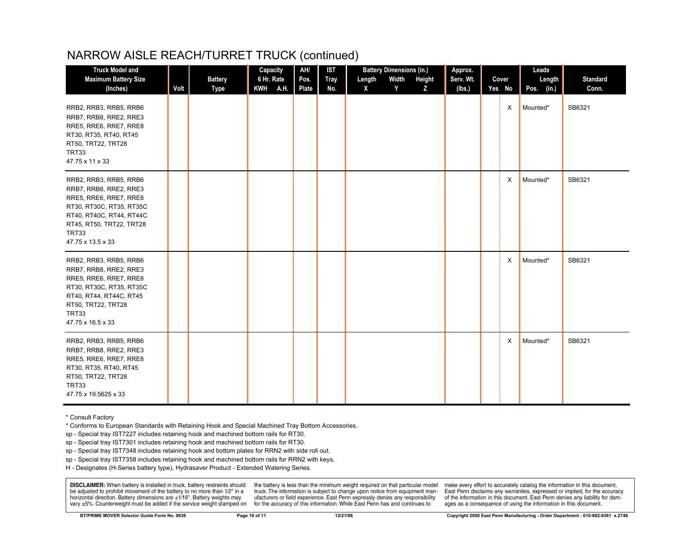## NARROW AISLE REACH/TURRET TRUCK (continued)

| <b>Truck Model and</b>                                                                                                                                                                       |      |                        | Capacity               | AH/           | <b>IST</b>         | <b>Battery Dimensions (in.)</b>          | Approx.             |  |                 | Leads                |                          |
|----------------------------------------------------------------------------------------------------------------------------------------------------------------------------------------------|------|------------------------|------------------------|---------------|--------------------|------------------------------------------|---------------------|--|-----------------|----------------------|--------------------------|
| <b>Maximum Battery Size</b><br>(Inches)                                                                                                                                                      | Volt | <b>Battery</b><br>Type | 6 Hr. Rate<br>KWH A.H. | Pos.<br>Plate | <b>Tray</b><br>No. | Width<br>Length<br>Height<br>X<br>Y<br>Z | Serv. Wt.<br>(Ibs.) |  | Cover<br>Yes No | Length<br>Pos. (in.) | <b>Standard</b><br>Conn. |
| RRB2, RRB3, RRB5, RRB6<br>RRB7, RRB8, RRE2, RRE3<br>RRE5, RRE6, RRE7, RRE8<br>RT30, RT35, RT40, RT45<br>RT50, TRT22, TRT28<br>TRT33<br>47.75 x 11 x 33                                       |      |                        |                        |               |                    |                                          |                     |  | X               | Mounted*             | SB6321                   |
| RRB2, RRB3, RRB5, RRB6<br>RRB7, RRB8, RRE2, RRE3<br>RRE5, RRE6, RRE7, RRE8<br>RT30, RT30C, RT35, RT35C<br>RT40, RT40C, RT44, RT44C<br>RT45, RT50, TRT22, TRT28<br>TRT33<br>47.75 x 13.5 x 33 |      |                        |                        |               |                    |                                          |                     |  | $\times$        | Mounted*             | SB6321                   |
| RRB2, RRB3, RRB5, RRB6<br>RRB7, RRB8, RRE2, RRE3<br>RRE5, RRE6, RRE7, RRE8<br>RT30, RT30C, RT35, RT35C<br>RT40, RT44, RT44C, RT45<br>RT50, TRT22, TRT28<br>TRT33<br>47.75 x 16.5 x 33        |      |                        |                        |               |                    |                                          |                     |  | X               | Mounted*             | SB6321                   |
| RRB2, RRB3, RRB5, RRB6<br>RRB7, RRB8, RRE2, RRE3<br>RRE5, RRE6, RRE7, RRE8<br>RT30, RT35, RT40, RT45<br>RT50, TRT22, TRT28<br>TRT33<br>47.75 x 19.5625 x 33                                  |      |                        |                        |               |                    |                                          |                     |  | X               | Mounted*             | SB6321                   |

\* Consult Factory

\* Conforms to European Standards with Retaining Hook and Special Machined Tray Bottom Accessories.

sp - Special tray IST7227 includes retaining hook and machined bottom rails for RT30.

sp - Special tray IST7301 includes retaining hook and machined bottom rails for RT30.

sp - Special tray IST7348 includes retaining hook and bottom plates for RRN2 with side roll out.

sp - Special tray IST7358 includes retaining hook and machined bottom rails for RRN2 with keys.

H - Designates (H-Series battery type), Hydrasaver Product - Extended Watering Series.

**DISCLAIMER:** When battery is installed in truck, battery restraints should be adjusted to prohibit movement of the battery to no more than 1/2" in a horizontal direction. Battery dimensions are  $\pm 1/16$ ". Battery weights may vary ±5%. Counterweight must be added if the service weight stamped on

the battery is less than the minimum weight required on that particular model truck. The information is subject to change upon notice from equipment manufacturers or field experience. East Penn expressly denies any responsibility for the accuracy of this information. While East Penn has and continues to